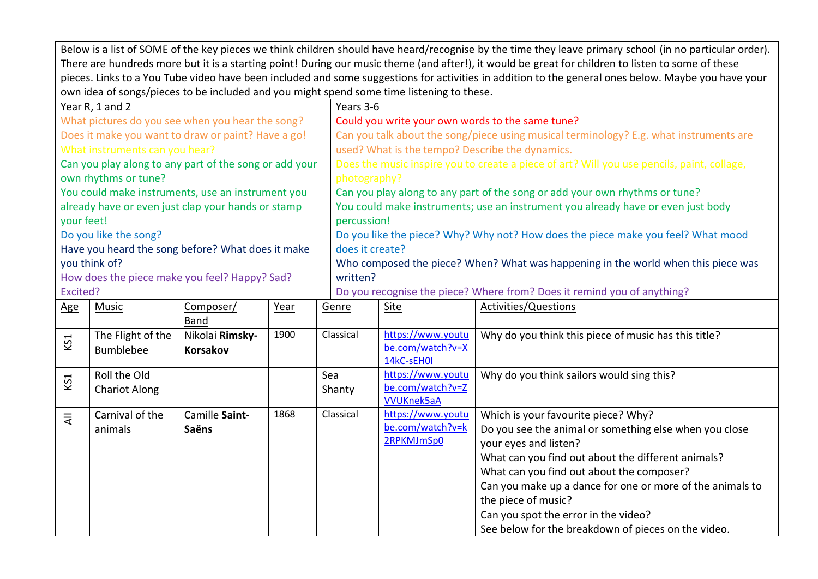Below is a list of SOME of the key pieces we think children should have heard/recognise by the time they leave primary school (in no particular order). There are hundreds more but it is a starting point! During our music theme (and after!), it would be great for children to listen to some of these pieces. Links to a You Tube video have been included and some suggestions for activities in addition to the general ones below. Maybe you have your own idea of songs/pieces to be included and you might spend some time listening to these.

| Year R, 1 and 2                                        |           |      |       | Years 3-6                                                                                  |                       |  |  |  |  |
|--------------------------------------------------------|-----------|------|-------|--------------------------------------------------------------------------------------------|-----------------------|--|--|--|--|
| What pictures do you see when you hear the song?       |           |      |       | Could you write your own words to the same tune?                                           |                       |  |  |  |  |
| Does it make you want to draw or paint? Have a go!     |           |      |       | Can you talk about the song/piece using musical terminology? E.g. what instruments are     |                       |  |  |  |  |
| What instruments can you hear?                         |           |      |       | used? What is the tempo? Describe the dynamics.                                            |                       |  |  |  |  |
| Can you play along to any part of the song or add your |           |      |       | Does the music inspire you to create a piece of art? Will you use pencils, paint, collage, |                       |  |  |  |  |
| own rhythms or tune?                                   |           |      |       | photography?                                                                               |                       |  |  |  |  |
| You could make instruments, use an instrument you      |           |      |       | Can you play along to any part of the song or add your own rhythms or tune?                |                       |  |  |  |  |
| already have or even just clap your hands or stamp     |           |      |       | You could make instruments; use an instrument you already have or even just body           |                       |  |  |  |  |
| your feet!                                             |           |      |       | percussion!                                                                                |                       |  |  |  |  |
| Do you like the song?                                  |           |      |       | Do you like the piece? Why? Why not? How does the piece make you feel? What mood           |                       |  |  |  |  |
| Have you heard the song before? What does it make      |           |      |       | does it create?                                                                            |                       |  |  |  |  |
| you think of?                                          |           |      |       | Who composed the piece? When? What was happening in the world when this piece was          |                       |  |  |  |  |
| How does the piece make you feel? Happy? Sad?          |           |      |       | written?                                                                                   |                       |  |  |  |  |
| Excited?                                               |           |      |       | Do you recognise the piece? Where from? Does it remind you of anything?                    |                       |  |  |  |  |
| $\Delta \sigma$ $\Delta \sigma$                        | Compocarl | Voor | Conro | $C1+0$                                                                                     | Activities (Questions |  |  |  |  |

| <u>Age</u> | Music                | Composer/       | Year | Genre     | Site              | Activities/Questions                                      |
|------------|----------------------|-----------------|------|-----------|-------------------|-----------------------------------------------------------|
|            |                      | Band            |      |           |                   |                                                           |
| KS1        | The Flight of the    | Nikolai Rimsky- | 1900 | Classical | https://www.youtu | Why do you think this piece of music has this title?      |
|            | <b>Bumblebee</b>     | <b>Korsakov</b> |      |           | be.com/watch?v=X  |                                                           |
|            |                      |                 |      |           | 14kC-sEH0I        |                                                           |
| KS1        | Roll the Old         |                 |      | Sea       | https://www.youtu | Why do you think sailors would sing this?                 |
|            | <b>Chariot Along</b> |                 |      | Shanty    | be.com/watch?v=Z  |                                                           |
|            |                      |                 |      |           | <b>VVUKnek5aA</b> |                                                           |
| $\bar{z}$  | Carnival of the      | Camille Saint-  | 1868 | Classical | https://www.youtu | Which is your favourite piece? Why?                       |
|            | animals              | Saëns           |      |           | be.com/watch?v=k  | Do you see the animal or something else when you close    |
|            |                      |                 |      |           | 2RPKMJmSp0        | your eyes and listen?                                     |
|            |                      |                 |      |           |                   | What can you find out about the different animals?        |
|            |                      |                 |      |           |                   | What can you find out about the composer?                 |
|            |                      |                 |      |           |                   | Can you make up a dance for one or more of the animals to |
|            |                      |                 |      |           |                   | the piece of music?                                       |
|            |                      |                 |      |           |                   | Can you spot the error in the video?                      |
|            |                      |                 |      |           |                   | See below for the breakdown of pieces on the video.       |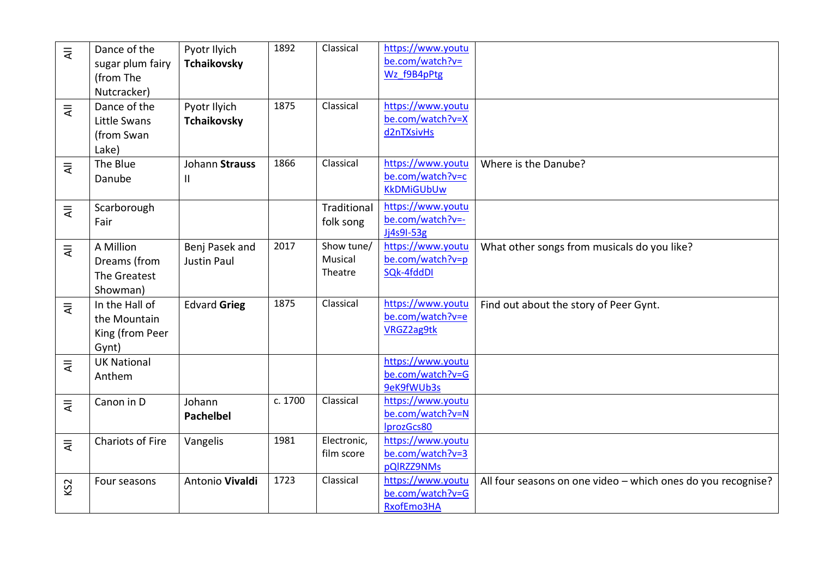| $\overline{4}$  | Dance of the<br>sugar plum fairy                           | Pyotr Ilyich<br><b>Tchaikovsky</b>   | 1892    | Classical                        | https://www.youtu<br>be.com/watch?v=<br>Wz f9B4pPtg        |                                                              |
|-----------------|------------------------------------------------------------|--------------------------------------|---------|----------------------------------|------------------------------------------------------------|--------------------------------------------------------------|
|                 | (from The<br>Nutcracker)                                   |                                      |         |                                  |                                                            |                                                              |
| $\overline{4}$  | Dance of the<br>Little Swans<br>(from Swan<br>Lake)        | Pyotr Ilyich<br><b>Tchaikovsky</b>   | 1875    | Classical                        | https://www.youtu<br>be.com/watch?v=X<br>d2nTXsivHs        |                                                              |
| $\bar{z}$       | The Blue<br>Danube                                         | Johann Strauss<br>$\mathsf{I}$       | 1866    | Classical                        | https://www.youtu<br>be.com/watch?v=c<br><b>KkDMiGUbUw</b> | Where is the Danube?                                         |
| $\overline{4}$  | Scarborough<br>Fair                                        |                                      |         | Traditional<br>folk song         | https://www.youtu<br>be.com/watch?v=-<br>Jj4s9I-53g        |                                                              |
| ₹               | A Million<br>Dreams (from<br>The Greatest<br>Showman)      | Benj Pasek and<br><b>Justin Paul</b> | 2017    | Show tune/<br>Musical<br>Theatre | https://www.youtu<br>be.com/watch?v=p<br>SQk-4fddDI        | What other songs from musicals do you like?                  |
| ₹               | In the Hall of<br>the Mountain<br>King (from Peer<br>Gynt) | <b>Edvard Grieg</b>                  | 1875    | Classical                        | https://www.youtu<br>be.com/watch?v=e<br>VRGZ2ag9tk        | Find out about the story of Peer Gynt.                       |
| $\overline{4}$  | <b>UK National</b><br>Anthem                               |                                      |         |                                  | https://www.youtu<br>be.com/watch?v=G<br>9eK9fWUb3s        |                                                              |
| $\bar{z}$       | Canon in D                                                 | Johann<br><b>Pachelbel</b>           | c. 1700 | Classical                        | https://www.youtu<br>be.com/watch?v=N<br>IprozGcs80        |                                                              |
| $\overline{a}$  | <b>Chariots of Fire</b>                                    | Vangelis                             | 1981    | Electronic,<br>film score        | https://www.youtu<br>be.com/watch?v=3<br>pQlRZZ9NMs        |                                                              |
| KS <sub>2</sub> | Four seasons                                               | Antonio Vivaldi                      | 1723    | Classical                        | https://www.youtu<br>be.com/watch?v=G<br>RxofEmo3HA        | All four seasons on one video - which ones do you recognise? |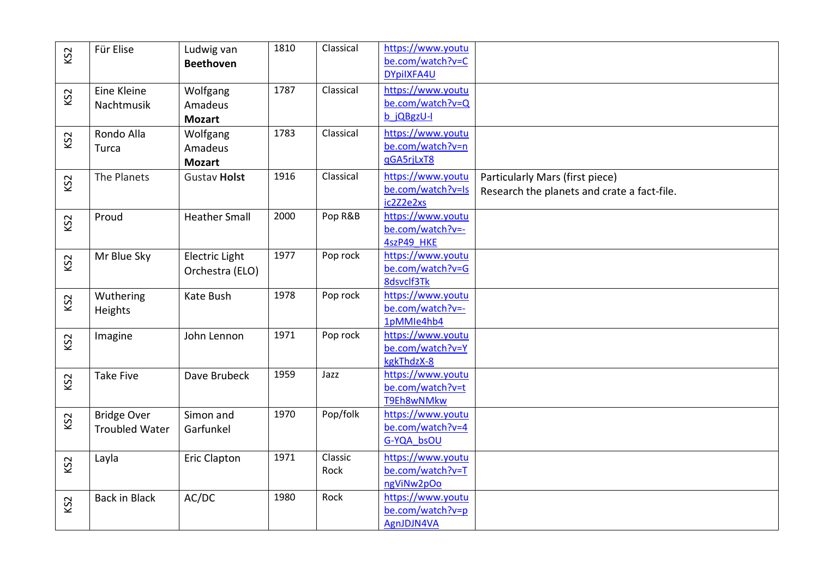| KS <sub>2</sub> | Für Elise             | Ludwig van           | 1810 | Classical | https://www.youtu                     |                                             |
|-----------------|-----------------------|----------------------|------|-----------|---------------------------------------|---------------------------------------------|
|                 |                       | <b>Beethoven</b>     |      |           | be.com/watch?v=C                      |                                             |
|                 |                       |                      |      |           | DYpilXFA4U                            |                                             |
| KS <sub>2</sub> | Eine Kleine           | Wolfgang             | 1787 | Classical | https://www.youtu                     |                                             |
|                 | Nachtmusik            | Amadeus              |      |           | be.com/watch?v=Q                      |                                             |
|                 |                       | <b>Mozart</b>        |      |           | b jQBgzU-I                            |                                             |
|                 | Rondo Alla            | Wolfgang             | 1783 | Classical | https://www.youtu                     |                                             |
| KS <sub>2</sub> | Turca                 | Amadeus              |      |           | be.com/watch?v=n                      |                                             |
|                 |                       | <b>Mozart</b>        |      |           | qGA5rjLxT8                            |                                             |
|                 | The Planets           | <b>Gustav Holst</b>  | 1916 | Classical | https://www.youtu                     | Particularly Mars (first piece)             |
| KS <sub>2</sub> |                       |                      |      |           | be.com/watch?v=Is                     | Research the planets and crate a fact-file. |
|                 |                       |                      |      |           | ic2Z2e2xs                             |                                             |
|                 | Proud                 | <b>Heather Small</b> | 2000 | Pop R&B   | https://www.youtu                     |                                             |
| KS <sub>2</sub> |                       |                      |      |           | be.com/watch?v=-                      |                                             |
|                 |                       |                      |      |           | 4szP49 HKE                            |                                             |
| KS <sub>2</sub> | Mr Blue Sky           | Electric Light       | 1977 | Pop rock  | https://www.youtu                     |                                             |
|                 |                       | Orchestra (ELO)      |      |           | be.com/watch?v=G                      |                                             |
|                 |                       |                      |      |           | 8dsvclf3Tk                            |                                             |
| KS <sub>2</sub> | Wuthering             | Kate Bush            | 1978 | Pop rock  | https://www.youtu                     |                                             |
|                 | Heights               |                      |      |           | be.com/watch?v=-                      |                                             |
|                 |                       |                      |      |           | 1pMMIe4hb4                            |                                             |
| KS <sub>2</sub> | Imagine               | John Lennon          | 1971 | Pop rock  | https://www.youtu                     |                                             |
|                 |                       |                      |      |           | be.com/watch?v=Y                      |                                             |
|                 |                       |                      |      |           | kgkThdzX-8                            |                                             |
| KS <sub>2</sub> | <b>Take Five</b>      | Dave Brubeck         | 1959 | Jazz      | https://www.youtu                     |                                             |
|                 |                       |                      |      |           | be.com/watch?v=t                      |                                             |
|                 |                       |                      |      |           | T9Eh8wNMkw                            |                                             |
| KS <sub>2</sub> | <b>Bridge Over</b>    | Simon and            | 1970 | Pop/folk  | https://www.youtu<br>be.com/watch?v=4 |                                             |
|                 | <b>Troubled Water</b> | Garfunkel            |      |           | G-YQA bsOU                            |                                             |
|                 |                       |                      |      |           |                                       |                                             |
| KS <sub>2</sub> | Layla                 | <b>Eric Clapton</b>  | 1971 | Classic   | https://www.youtu                     |                                             |
|                 |                       |                      |      | Rock      | be.com/watch?v=T                      |                                             |
|                 |                       |                      |      |           | ngViNw2pOo                            |                                             |
| KS <sub>2</sub> | <b>Back in Black</b>  | AC/DC                | 1980 | Rock      | https://www.youtu                     |                                             |
|                 |                       |                      |      |           | be.com/watch?v=p                      |                                             |
|                 |                       |                      |      |           | AgnJDJN4VA                            |                                             |